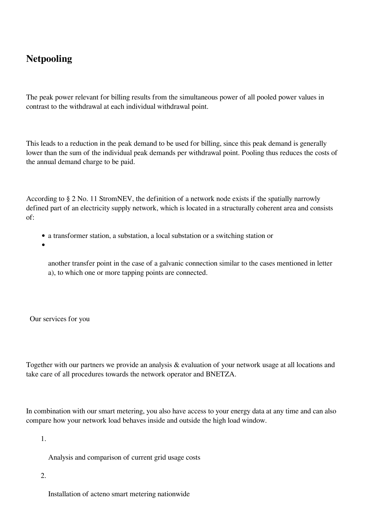## **Netpooling**

The peak power relevant for billing results from the simultaneous power of all pooled power values in contrast to the withdrawal at each individual withdrawal point.

This leads to a reduction in the peak demand to be used for billing, since this peak demand is generally lower than the sum of the individual peak demands per withdrawal point. Pooling thus reduces the costs of the annual demand charge to be paid.

According to § 2 No. 11 StromNEV, the definition of a network node exists if the spatially narrowly defined part of an electricity supply network, which is located in a structurally coherent area and consists of:

- a transformer station, a substation, a local substation or a switching station or
- 

another transfer point in the case of a galvanic connection similar to the cases mentioned in letter a), to which one or more tapping points are connected.

Our services for you

Together with our partners we provide an analysis & evaluation of your network usage at all locations and take care of all procedures towards the network operator and BNETZA.

In combination with our smart metering, you also have access to your energy data at any time and can also compare how your network load behaves inside and outside the high load window.

1.

Analysis and comparison of current grid usage costs

2.

Installation of acteno smart metering nationwide